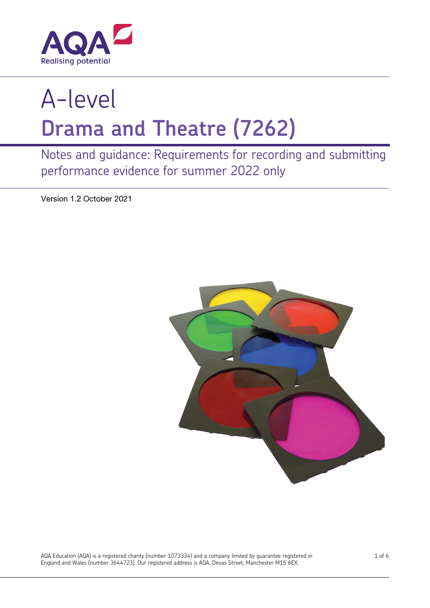

# A-level **Drama and Theatre (7262)**

Notes and guidance: Requirements for recording and submitting performance evidence for summer 2022 only

Version 1.2 October 2021



AQA Education (AQA) is a registered charity (number 1073334) and a company limited by guarantee registered in England and Wales (number 3644723). Our registered address is AQA, Devas Street, Manchester M15 6EX.

1 of 6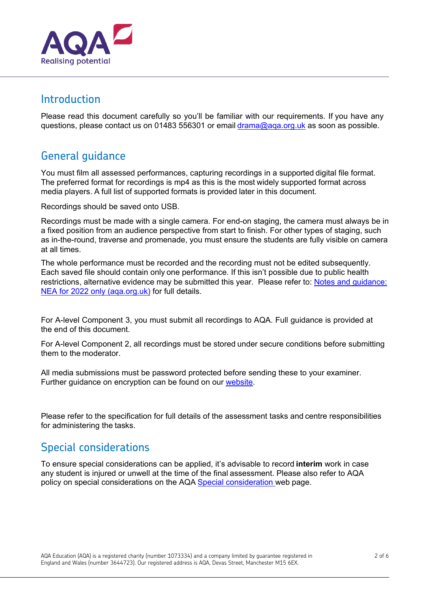

#### Introduction

Please read this document carefully so you'll be familiar with our requirements. If you have any questions, please contact us on 01483 556301 or email [drama@aqa.org.uk](mailto:drama@aqa.org.uk) as soon as possible.

## General guidance

You must film all assessed performances, capturing recordings in a supported digital file format. The preferred format for recordings is mp4 as this is the most widely supported format across media players. A full list of supported formats is provided later in this document.

Recordings should be saved onto USB.

Recordings must be made with a single camera. For end-on staging, the camera must always be in a fixed position from an audience perspective from start to finish. For other types of staging, such as in-the-round, traverse and promenade, you must ensure the students are fully visible on camera at all times.

The whole performance must be recorded and the recording must not be edited subsequently. Each saved file should contain only one performance. If this isn't possible due to public health restrictions, alternative evidence may be submitted this year. Please refer to: [Notes and guidance:](https://filestore.aqa.org.uk/resources/drama/AQA-7262-NG-NEA-2022.PDF)  [NEA for 2022 only \(aqa.org.uk\)](https://filestore.aqa.org.uk/resources/drama/AQA-7262-NG-NEA-2022.PDF) for full details.

For A-level Component 3, you must submit all recordings to AQA. Full guidance is provided at the end of this document.

For A-level Component 2, all recordings must be stored under secure conditions before submitting them to the moderator.

All media submissions must be password protected before sending these to your examiner. Further guidance on encryption can be found on our [website.](https://www.aqa.org.uk/exams-administration/coursework-controlled-assessment-nea/send-student-samples)

Please refer to the specification for full details of the assessment tasks and centre responsibilities for administering the tasks.

## Special considerations

To ensure special considerations can be applied, it's advisable to record **interim** work in case any student is injured or unwell at the time of the final assessment. Please also refer to AQA policy on special considerations on the AQA Special [consideration](https://www.aqa.org.uk/exams-administration/special-requirements/special-consideration) web page.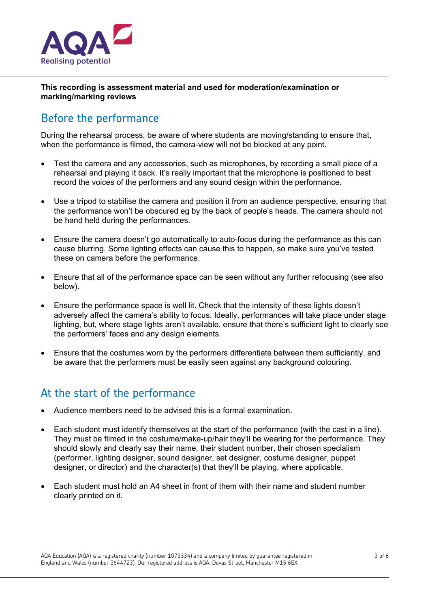

**This recording is assessment material and used for moderation/examination or marking/marking reviews**

## Before the performance

During the rehearsal process, be aware of where students are moving/standing to ensure that, when the performance is filmed, the camera-view will not be blocked at any point.

- Test the camera and any accessories, such as microphones, by recording a small piece of a rehearsal and playing it back. It's really important that the microphone is positioned to best record the voices of the performers and any sound design within the performance.
- Use a tripod to stabilise the camera and position it from an audience perspective, ensuring that the performance won't be obscured eg by the back of people's heads. The camera should not be hand held during the performances.
- Ensure the camera doesn't go automatically to auto-focus during the performance as this can cause blurring. Some lighting effects can cause this to happen, so make sure you've tested these on camera before the performance.
- Ensure that all of the performance space can be seen without any further refocusing (see also below).
- Ensure the performance space is well lit. Check that the intensity of these lights doesn't adversely affect the camera's ability to focus. Ideally, performances will take place under stage lighting, but, where stage lights aren't available, ensure that there's sufficient light to clearly see the performers' faces and any design elements.
- Ensure that the costumes worn by the performers differentiate between them sufficiently, and be aware that the performers must be easily seen against any background colouring.

## At the start of the performance

- Audience members need to be advised this is a formal examination.
- Each student must identify themselves at the start of the performance (with the cast in a line). They must be filmed in the costume/make-up/hair they'll be wearing for the performance. They should slowly and clearly say their name, their student number, their chosen specialism (performer, lighting designer, sound designer, set designer, costume designer, puppet designer, or director) and the character(s) that they'll be playing, where applicable.
- Each student must hold an A4 sheet in front of them with their name and student number clearly printed on it.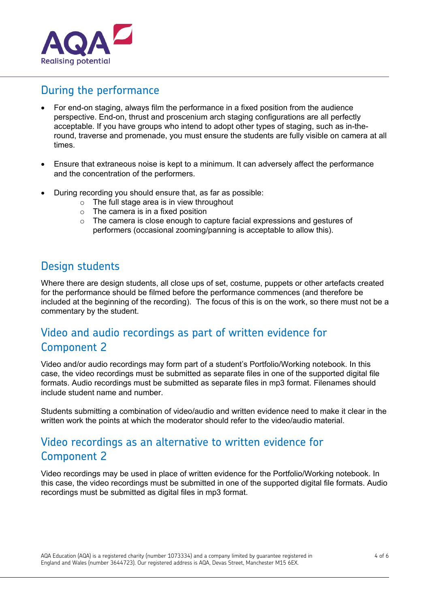

### During the performance

- For end-on staging, always film the performance in a fixed position from the audience perspective. End-on, thrust and proscenium arch staging configurations are all perfectly acceptable. If you have groups who intend to adopt other types of staging, such as in-theround, traverse and promenade, you must ensure the students are fully visible on camera at all times.
- Ensure that extraneous noise is kept to a minimum. It can adversely affect the performance and the concentration of the performers.
- During recording you should ensure that, as far as possible:
	- $\circ$  The full stage area is in view throughout
	- $\circ$  The camera is in a fixed position
	- $\circ$  The camera is close enough to capture facial expressions and gestures of performers (occasional zooming/panning is acceptable to allow this).

#### Design students

Where there are design students, all close ups of set, costume, puppets or other artefacts created for the performance should be filmed before the performance commences (and therefore be included at the beginning of the recording). The focus of this is on the work, so there must not be a commentary by the student.

## Video and audio recordings as part of written evidence for Component 2

Video and/or audio recordings may form part of a student's Portfolio/Working notebook. In this case, the video recordings must be submitted as separate files in one of the supported digital file formats. Audio recordings must be submitted as separate files in mp3 format. Filenames should include student name and number.

Students submitting a combination of video/audio and written evidence need to make it clear in the written work the points at which the moderator should refer to the video/audio material.

## Video recordings as an alternative to written evidence for Component 2

Video recordings may be used in place of written evidence for the Portfolio/Working notebook. In this case, the video recordings must be submitted in one of the supported digital file formats. Audio recordings must be submitted as digital files in mp3 format.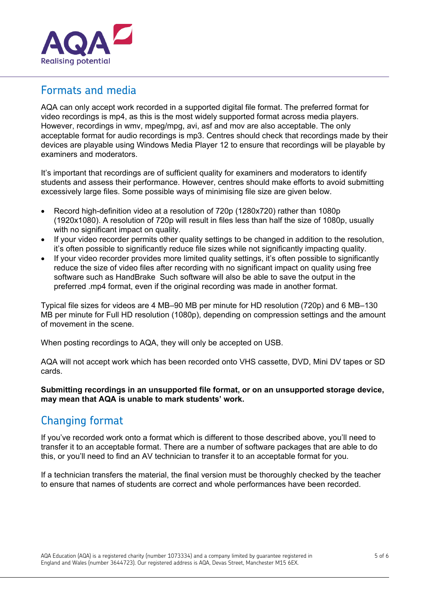

#### Formats and media

AQA can only accept work recorded in a supported digital file format. The preferred format for video recordings is mp4, as this is the most widely supported format across media players. However, recordings in wmv, mpeg/mpg, avi, asf and mov are also acceptable. The only acceptable format for audio recordings is mp3. Centres should check that recordings made by their devices are playable using Windows Media Player 12 to ensure that recordings will be playable by examiners and moderators.

It's important that recordings are of sufficient quality for examiners and moderators to identify students and assess their performance. However, centres should make efforts to avoid submitting excessively large files. Some possible ways of minimising file size are given below.

- Record high-definition video at a resolution of 720p (1280x720) rather than 1080p (1920x1080). A resolution of 720p will result in files less than half the size of 1080p, usually with no significant impact on quality.
- If your video recorder permits other quality settings to be changed in addition to the resolution, it's often possible to significantly reduce file sizes while not significantly impacting quality.
- If your video recorder provides more limited quality settings, it's often possible to significantly reduce the size of video files after recording with no significant impact on quality using free software such as HandBrake Such software will also be able to save the output in the preferred .mp4 format, even if the original recording was made in another format.

Typical file sizes for videos are 4 MB–90 MB per minute for HD resolution (720p) and 6 MB–130 MB per minute for Full HD resolution (1080p), depending on compression settings and the amount of movement in the scene.

When posting recordings to AQA, they will only be accepted on USB.

AQA will not accept work which has been recorded onto VHS cassette, DVD, Mini DV tapes or SD cards.

**Submitting recordings in an unsupported file format, or on an unsupported storage device, may mean that AQA is unable to mark students' work.**

## Changing format

If you've recorded work onto a format which is different to those described above, you'll need to transfer it to an acceptable format. There are a number of software packages that are able to do this, or you'll need to find an AV technician to transfer it to an acceptable format for you.

If a technician transfers the material, the final version must be thoroughly checked by the teacher to ensure that names of students are correct and whole performances have been recorded.